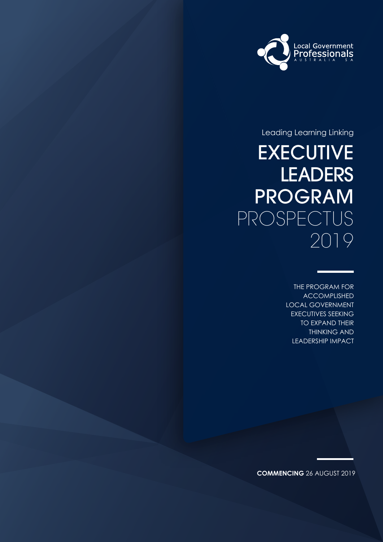

Leading Learning Linking

### EXECUTIVE **LEADERS** PROGRAM PROSPECTUS 2019

THE PROGRAM FOR ACCOMPLISHED LOCAL GOVERNMENT EXECUTIVES SEEKING TO EXPAND THEIR THINKING AND LEADERSHIP IMPACT

**COMMENCING** 26 AUGUST 2019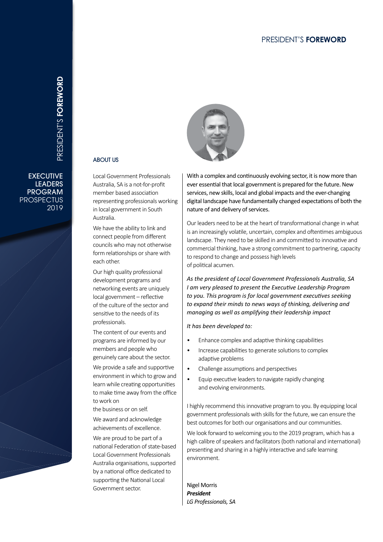#### PRESIDENT'S **FOREWORD**

## PRESIDENT'S FOREWORD **FOREWORD**PRESIDENT'S

**EXECUTIVE** LEADERS PROGRAM **PROSPECTUS** 2019



Local Government Professionals Australia, SA is a not-for-profit member based association representing professionals working in local government in South Australia.

We have the ability to link and connect people from different councils who may not otherwise form relationships or share with each other.

ABOUT US

Our high quality professional development programs and networking events are uniquely local government – reflective of the culture of the sector and sensitive to the needs of its professionals.

The content of our events and programs are informed by our members and people who genuinely care about the sector.

We provide a safe and supportive environment in which to grow and learn while creating opportunities to make time away from the office to work on

the business or on self.

We award and acknowledge achievements of excellence.

We are proud to be part of a national Federation of state-based Local Government Professionals Australia organisations, supported by a national office dedicated to supporting the National Local Government sector.



With a complex and continuously evolving sector, it is now more than ever essential that local government is prepared for the future. New services, new skills, local and global impacts and the ever-changing digital landscape have fundamentally changed expectations of both the nature of and delivery of services.

Our leaders need to be at the heart of transformational change in what is an increasingly volatile, uncertain, complex and oftentimes ambiguous landscape. They need to be skilled in and committed to innovative and commercial thinking, have a strong commitment to partnering, capacity to respond to change and possess high levels of political acumen.

*As the president of Local Government Professionals Australia, SA I am very pleased to present the Executive Leadership Program to you. This program is for local government executives seeking to expand their minds to news ways of thinking, delivering and managing as well as amplifying their leadership impact*

#### *It has been developed to:*

- Enhance complex and adaptive thinking capabilities
- Increase capabilities to generate solutions to complex adaptive problems
- Challenge assumptions and perspectives
- Equip executive leaders to navigate rapidly changing and evolving environments.

I highly recommend this innovative program to you. By equipping local government professionals with skills for the future, we can ensure the best outcomes for both our organisations and our communities.

We look forward to welcoming you to the 2019 program, which has a high calibre of speakers and facilitators (both national and international) presenting and sharing in a highly interactive and safe learning environment.

Nigel Morris *President LG Professionals, SA*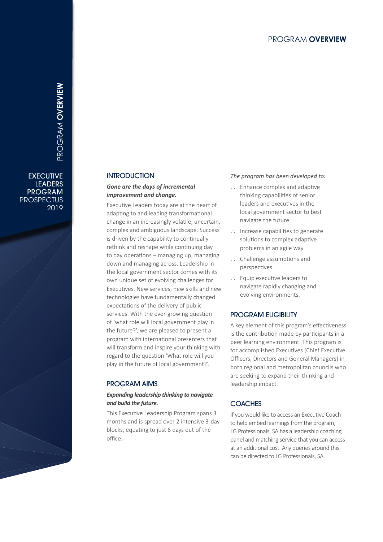# PROGRAM **OVERVIEW**PROGRAM **OVERVIEW**

**EXECUTIVE** LEADERS PROGRAM **PROSPECTUS** 2019

#### **INTRODUCTION**

#### *Gone are the days of incremental improvement and change.*

Executive Leaders today are at the heart of adapting to and leading transformational change in an increasingly volatile, uncertain, complex and ambiguous landscape. Success is driven by the capability to continually rethink and reshape while continuing day to day operations – managing up, managing down and managing across. Leadership in the local government sector comes with its own unique set of evolving challenges for Executives. New services, new skills and new technologies have fundamentally changed expectations of the delivery of public services. With the ever-growing question of 'what role will local government play in the future?', we are pleased to present a program with international presenters that will transform and inspire your thinking with regard to the question 'What role will you play in the future of local government?'.

#### PROGRAM AIMS

#### *Expanding leadership thinking to navigate and build the future.*

This Executive Leadership Program spans 3 months and is spread over 2 intensive 3-day blocks, equating to just 6 days out of the office.

#### *The program has been developed to:*

- ∴ Enhance complex and adaptive thinking capabilities of senior leaders and executives in the local government sector to best navigate the future
- ∴ Increase capabilities to generate solutions to complex adaptive problems in an agile way
- ∴ Challenge assumptions and perspectives
- ∴ Equip executive leaders to navigate rapidly changing and evolving environments.

#### PROGRAM ELIGIBILITY

A key element of this program's effectiveness is the contribution made by participants in a peer learning environment. This program is for accomplished Executives (Chief Executive Officers, Directors and General Managers) in both regional and metropolitan councils who are seeking to expand their thinking and leadership impact.

#### **COACHES**

If you would like to access an Executive Coach to help embed learnings from the program, LG Professionals, SA has a leadership coaching panel and matching service that you can access at an additional cost. Any queries around this can be directed to LG Professionals, SA.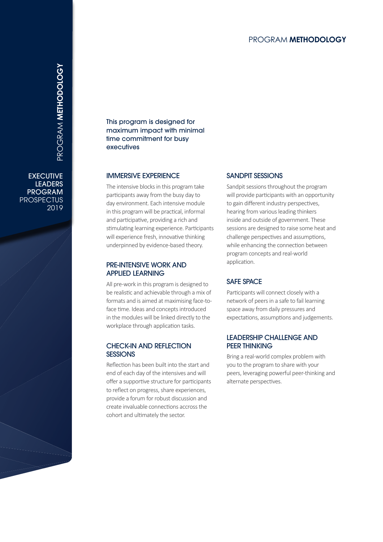#### PROGRAM **METHODOLOGY**

**EXECUTIVE LEADERS** PROGRAM **PROSPECTUS** 2019

This program is designed for maximum impact with minimal time commitment for busy executives

#### IMMERSIVE EXPERIENCE

The intensive blocks in this program take participants away from the busy day to day environment. Each intensive module in this program will be practical, informal and participative, providing a rich and stimulating learning experience. Participants will experience fresh, innovative thinking underpinned by evidence-based theory.

#### PRE-INTENSIVE WORK AND APPLIED LEARNING

All pre-work in this program is designed to be realistic and achievable through a mix of formats and is aimed at maximising face-toface time. Ideas and concepts introduced in the modules will be linked directly to the workplace through application tasks.

#### CHECK-IN AND REFLECTION **SESSIONS**

Reflection has been built into the start and end of each day of the intensives and will offer a supportive structure for participants to reflect on progress, share experiences, provide a forum for robust discussion and create invaluable connections accross the cohort and ultimately the sector.

#### SANDPIT SESSIONS

Sandpit sessions throughout the program will provide participants with an opportunity to gain different industry perspectives, hearing from various leading thinkers inside and outside of government. These sessions are designed to raise some heat and challenge perspectives and assumptions, while enhancing the connection between program concepts and real-world application.

#### SAFE SPACE

Participants will connect closely with a network of peers in a safe to fail learning space away from daily pressures and expectations, assumptions and judgements.

#### LEADERSHIP CHALLENGE AND PEER THINKING

Bring a real-world complex problem with you to the program to share with your peers, leveraging powerful peer-thinking and alternate perspectives.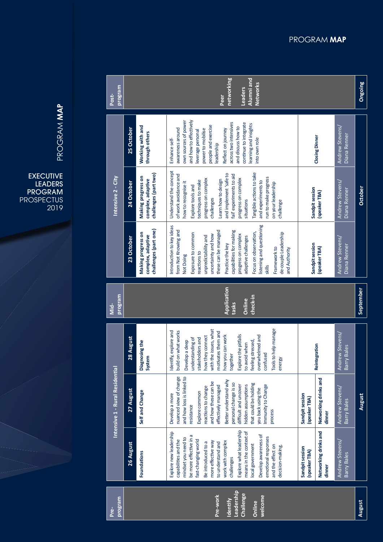| program<br>Post-                |            | networking<br>Alumni and<br>Networks<br>Leaders<br>Peer          |                                                                                                                                                                                                                                                                                                                                                                                                                                                                                                       |                |  |  |
|---------------------------------|------------|------------------------------------------------------------------|-------------------------------------------------------------------------------------------------------------------------------------------------------------------------------------------------------------------------------------------------------------------------------------------------------------------------------------------------------------------------------------------------------------------------------------------------------------------------------------------------------|----------------|--|--|
|                                 | 25 October | Working with and<br>through others                               | own sources of power<br>and how to effectively<br>across two intensives<br>continue to integrate<br>learning and insights<br>people and exercise<br>Andrew Stevens/<br>and discuss how to<br>awareness around<br>Reflect on journey<br>power to mobilise<br>leverage personal<br>Diana Renner<br><b>Closing Dinner</b><br>into own role<br>Enhance self-<br>leadership                                                                                                                                |                |  |  |
| Intensive 2 - City              | 24 October | challenges (part two)<br>Making progress on<br>complex, adaptive | Understand the concept<br>Tangible actions to take<br>and implement 'safe to<br>fail' experiments to aid<br>of work avoidance and<br>run to make progress<br>progress on complex<br>progress on complex<br>Learn how to design<br>techniques to make<br>and experiments to<br>Andrew Stevens/<br>how to recognise it<br>on your leadership<br>Explore tools and<br>Sandpit session<br>Diana Renner<br>(speaker TBA)<br>challenges<br>situations<br>challenge                                          | <b>October</b> |  |  |
|                                 | 23 October | challenges (part one)<br>Making progress on<br>complex, adaptive | listening and questioning<br>Introduction to key ideas<br>from Not Knowing and<br>capabilities for making<br>these can be managed<br>Focus on observation,<br>de-couple Leadership<br>Exposure to common<br>uncertainty and how<br>progress on complex<br>unpredictability and<br>adaptive challenges<br>Andrew Stevens/<br>Sandpit session<br>Practice the key<br>Diana Renner<br>Framework to<br>(speaker TBA)<br>and Authority<br>reactions to<br>Not Doing<br>skills                              |                |  |  |
| program<br>$\frac{1}{2}$        |            | Application<br><b>September</b><br>check-in<br>Online<br>tasks   |                                                                                                                                                                                                                                                                                                                                                                                                                                                                                                       |                |  |  |
|                                 | 28 August  | Diagnosing the<br>System                                         | Tools to help manage<br>with the issues, what<br>Identify, explore and<br>build on what works<br>motivates them and<br>Andrew Stevens/<br>Explore the pitfalls<br>how you can work<br>how they connect<br>overwhelmed and<br>understanding of<br>stakeholders and<br>Develop a deep<br>feeling stressed,<br>to avoid when<br>Reintegration<br>Barry Bales<br>confused<br>together<br>energy                                                                                                           |                |  |  |
| Intensive 1 - Rural Residential | 27 August  | Self and Change                                                  | nuanced view of change<br>and how loss is linked to<br>Networking drinks and<br>Better understand why<br>and how these can be<br>personal change is so<br>that could be holding<br>difficult and uncover<br>hidden assumptions<br>Immunity to Change<br>effectively managed<br>reactions to change<br>Andrew Stevens/<br>you back using the<br>Explore common<br>Sandpit session<br>Develop a more<br>(speaker TBA)<br>Barry Bales<br>resistance<br>process<br>dinner                                 | August         |  |  |
|                                 | 26 August  | Foundations                                                      | Explore what leadership<br>Networking drinks and<br>means in the context of<br>Explore new leadership<br>Develop awareness of<br>be more effective in a<br>emotional responses<br>mindset you need to<br>fast-changing world<br>capabilities and the<br>Andrew Stevens/<br>work with complex<br>more effective way<br>Be introduced to a<br>to understand and<br>local government<br>and the effect on<br>decision-making.<br>Sandpit session<br>(speaker TBA)<br>Barry Bales<br>challenges<br>dinner |                |  |  |
| program<br>Pre-                 |            |                                                                  | Leadership<br>Challenge<br>Pre-work<br>welcome<br><b>Identify</b><br>Online                                                                                                                                                                                                                                                                                                                                                                                                                           | August         |  |  |

PROGRAM MAP 2019<br>PROGRAM **MAP**<br>2019<br>2019

EXECUTIVE LEADERS PROGRAM PROSPECTUS PROGRAM **MAP**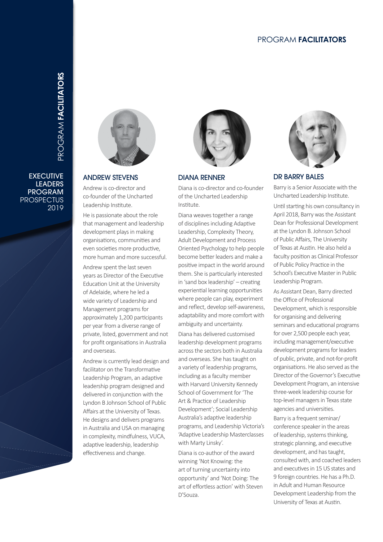#### PROGRAM **FACILITATORS**

**EXECUTIVE** LEADERS PROGRAM **PROSPECTUS** 2019





#### ANDREW STEVENS

Andrew is co-director and co-founder of the Uncharted Leadership Institute.

He is passionate about the role that management and leadership development plays in making organisations, communities and even societies more productive, more human and more successful.

Andrew spent the last seven years as Director of the Executive Education Unit at the University of Adelaide, where he led a wide variety of Leadership and Management programs for approximately 1,200 participants per year from a diverse range of private, listed, government and not for profit organisations in Australia and overseas.

Andrew is currently lead design and facilitator on the Transformative Leadership Program, an adaptive leadership program designed and delivered in conjunction with the Lyndon B Johnson School of Public Affairs at the University of Texas. He designs and delivers programs in Australia and USA on managing in complexity, mindfulness, VUCA, adaptive leadership, leadership effectiveness and change.



#### DIANA RENNER

Diana is co-director and co-founder of the Uncharted Leadership Institute.

Diana weaves together a range of disciplines including Adaptive Leadership, Complexity Theory, Adult Development and Process Oriented Psychology to help people become better leaders and make a positive impact in the world around them. She is particularly interested in 'sand box leadership' – creating experiential learning opportunities where people can play, experiment and reflect, develop self-awareness, adaptability and more comfort with ambiguity and uncertainty.

Diana has delivered customised leadership development programs across the sectors both in Australia and overseas. She has taught on a variety of leadership programs, including as a faculty member with Harvard University Kennedy School of Government for 'The Art & Practice of Leadership Development'; Social Leadership Australia's adaptive leadership programs, and Leadership Victoria's 'Adaptive Leadership Masterclasses with Marty Linsky'.

Diana is co-author of the award winning 'Not Knowing: the art of turning uncertainty into opportunity' and 'Not Doing: The art of effortless action' with Steven D'Souza.



#### DR BARRY BALES

Barry is a Senior Associate with the Uncharted Leadership Institute.

Until starting his own consultancy in April 2018, Barry was the Assistant Dean for Professional Development at the Lyndon B. Johnson School of Public Affairs, The University of Texas at Austin. He also held a faculty position as Clinical Professor of Public Policy Practice in the School's Executive Master in Public Leadership Program.

As Assistant Dean, Barry directed the Office of Professional Development, which is responsible for organising and delivering seminars and educational programs for over 2,500 people each year, including management/executive development programs for leaders of public, private, and not-for-profit organisations. He also served as the Director of the Governor's Executive Development Program, an intensive three-week leadership course for top-level managers in Texas state agencies and universities.

Barry is a frequent seminar/ conference speaker in the areas of leadership, systems thinking, strategic planning, and executive development, and has taught, consulted with, and coached leaders and executives in 15 US states and 9 foreign countries. He has a Ph.D. in Adult and Human Resource Development Leadership from the University of Texas at Austin.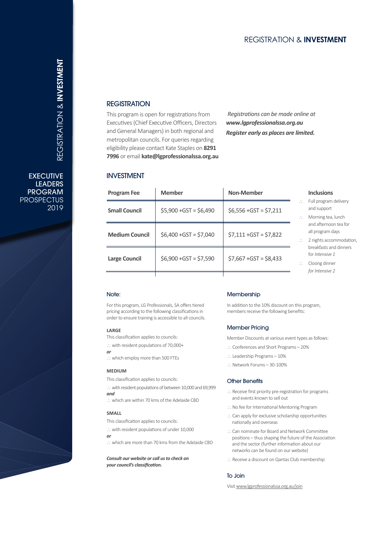#### **REGISTRATION**

This program is open for registrations from Executives (Chief Executive Officers, Directors and General Managers) in both regional and metropolitan councils. For queries regarding eligibility please contact Kate Staples on **8291 7996** or email **kate@lgprofessionalssa.org.au**

*Registrations can be made online at www.lgprofessionalssa.org.au Register early as places are limited.*

#### INVESTMENT

| <b>Program Fee</b>    | <b>Member</b>           | Non-Member              |
|-----------------------|-------------------------|-------------------------|
| <b>Small Council</b>  | $$5,900 + GST = $6,490$ | $$6,556 + GST = $7,211$ |
| <b>Medium Council</b> | $$6,400 + GST = $7,040$ | $$7,111 + GST = $7,822$ |
| <b>Large Council</b>  | $$6,900 + GST = $7,590$ | $$7,667 + GST = $8,433$ |
|                       |                         |                         |

#### **Inclusions**

- ∴ Full program delivery and support
- ∴ Morning tea, lunch and afternoon tea for all program days
- 2 nights accommodation, breakfasts and dinners for *Intensive 1*
- ∴ Closing dinner *for Intensive 2*

#### Note:

For this program, LG Professionals, SA offers tiered pricing according to the following classifications in order to ensure training is accessible to all councils.

#### **LARGE**

- This classification applies to councils:
- ∴ with resident populations of 70,000+ *or*
- ∴ which employ more than 500 FTEs

#### **MEDIUM**

This classification applies to councils:

∴ with resident populations of between 10,000 and 69,999 *and*

∴ which are within 70 kms of the Adelaide CBD

#### **SMALL**

- This classification applies to councils:
- ∴ with resident populations of under 10,000
- *or*
- ∴ which are more than 70 kms from the Adelaide CBD

*Consult our website or call us to check on your council's classification.*

#### **Membership**

In addition to the 10% discount on this program, members receive the following benefits:

#### Member Pricing

Member Discounts at various event types as follows:

- ∴ Conferences and Short Programs 20%
- ∴ Leadership Programs 10%
- ∴ Network Forums 30 -100%

#### Other Benefits

- ∴ Receive first priority pre-registration for programs and events known to sell out
- ∴ No fee for International Mentoring Program
- ∴ Can apply for exclusive scholarship opportunities nationally and overseas
- ∴ Can nominate for Board and Network Committee positions – thus shaping the future of the Association and the sector (further information about our networks can be found on our website)
- ∴ Receive a discount on Qantas Club membership

#### To Join

Visit www.lgprofessionalssa.org.au/join

REGISTRATION & **Investment** REGISTRATION & **INVESTMENT**

**EXECUTIVE** LEADERS PROGRAM **PROSPECTUS** 2019